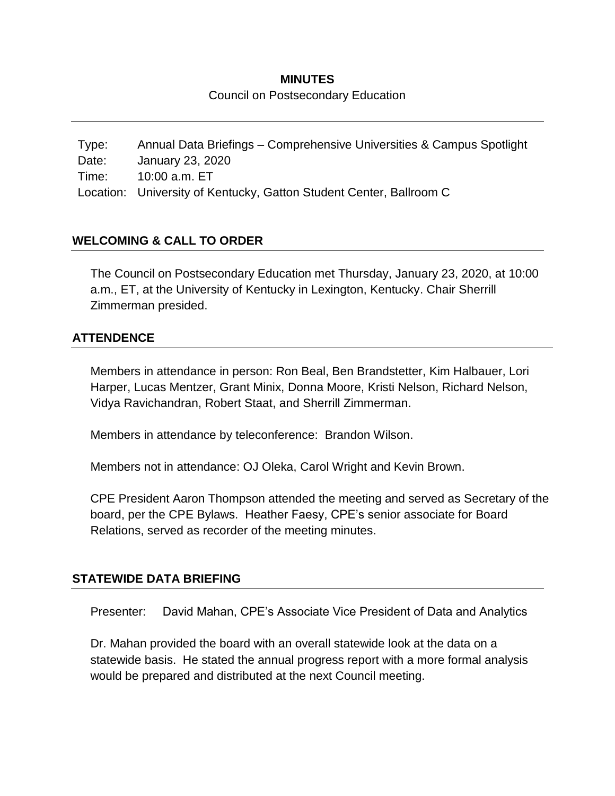# **MINUTES** Council on Postsecondary Education

Type: Annual Data Briefings – Comprehensive Universities & Campus Spotlight Date: January 23, 2020 Time: 10:00 a.m. ET Location: University of Kentucky, Gatton Student Center, Ballroom C

# **WELCOMING & CALL TO ORDER**

The Council on Postsecondary Education met Thursday, January 23, 2020, at 10:00 a.m., ET, at the University of Kentucky in Lexington, Kentucky. Chair Sherrill Zimmerman presided.

### **ATTENDENCE**

Members in attendance in person: Ron Beal, Ben Brandstetter, Kim Halbauer, Lori Harper, Lucas Mentzer, Grant Minix, Donna Moore, Kristi Nelson, Richard Nelson, Vidya Ravichandran, Robert Staat, and Sherrill Zimmerman.

Members in attendance by teleconference: Brandon Wilson.

Members not in attendance: OJ Oleka, Carol Wright and Kevin Brown.

CPE President Aaron Thompson attended the meeting and served as Secretary of the board, per the CPE Bylaws. Heather Faesy, CPE's senior associate for Board Relations, served as recorder of the meeting minutes.

#### **STATEWIDE DATA BRIEFING**

Presenter: David Mahan, CPE's Associate Vice President of Data and Analytics

Dr. Mahan provided the board with an overall statewide look at the data on a statewide basis. He stated the annual progress report with a more formal analysis would be prepared and distributed at the next Council meeting.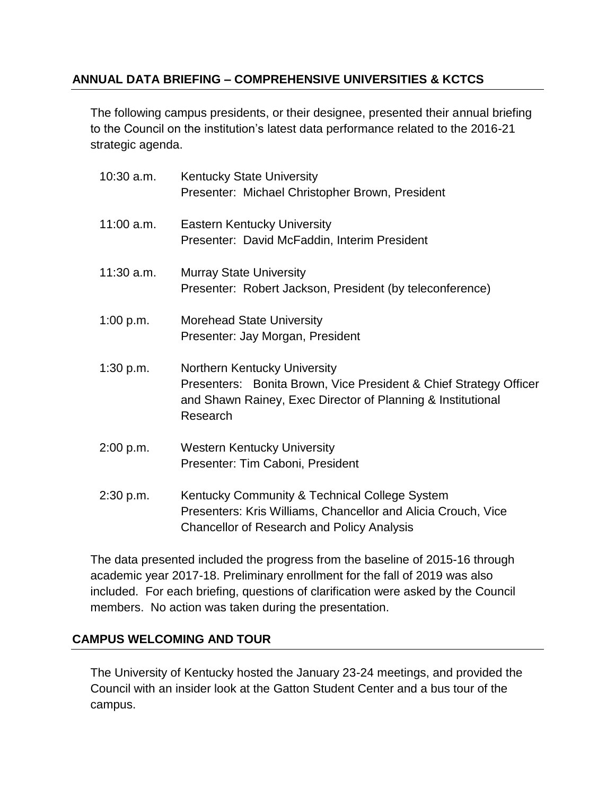# **ANNUAL DATA BRIEFING – COMPREHENSIVE UNIVERSITIES & KCTCS**

The following campus presidents, or their designee, presented their annual briefing to the Council on the institution's latest data performance related to the 2016-21 strategic agenda.

| $10:30$ a.m. | <b>Kentucky State University</b><br>Presenter: Michael Christopher Brown, President                                                                                          |
|--------------|------------------------------------------------------------------------------------------------------------------------------------------------------------------------------|
| $11:00$ a.m. | <b>Eastern Kentucky University</b><br>Presenter: David McFaddin, Interim President                                                                                           |
| $11:30$ a.m. | <b>Murray State University</b><br>Presenter: Robert Jackson, President (by teleconference)                                                                                   |
| 1:00 p.m.    | <b>Morehead State University</b><br>Presenter: Jay Morgan, President                                                                                                         |
| 1:30 p.m.    | Northern Kentucky University<br>Presenters: Bonita Brown, Vice President & Chief Strategy Officer<br>and Shawn Rainey, Exec Director of Planning & Institutional<br>Research |
| 2:00 p.m.    | <b>Western Kentucky University</b><br>Presenter: Tim Caboni, President                                                                                                       |
| 2:30 p.m.    | Kentucky Community & Technical College System<br>Presenters: Kris Williams, Chancellor and Alicia Crouch, Vice<br><b>Chancellor of Research and Policy Analysis</b>          |

The data presented included the progress from the baseline of 2015-16 through academic year 2017-18. Preliminary enrollment for the fall of 2019 was also included. For each briefing, questions of clarification were asked by the Council members. No action was taken during the presentation.

### **CAMPUS WELCOMING AND TOUR**

The University of Kentucky hosted the January 23-24 meetings, and provided the Council with an insider look at the Gatton Student Center and a bus tour of the campus.